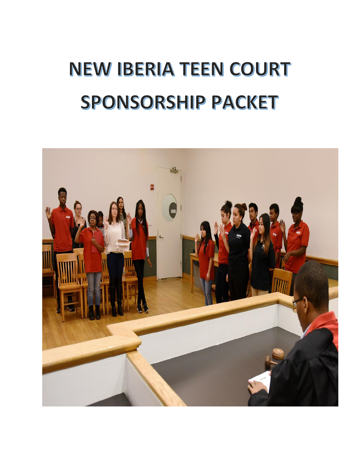## **NEW IBERIA TEEN COURT** SPONSORSHIP PACKET

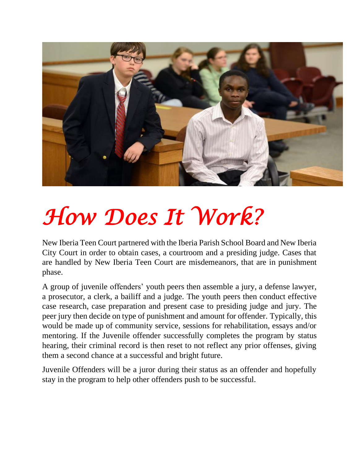

## *How Does It Work?*

New Iberia Teen Court partnered with the Iberia Parish School Board and New Iberia City Court in order to obtain cases, a courtroom and a presiding judge. Cases that are handled by New Iberia Teen Court are misdemeanors, that are in punishment phase.

A group of juvenile offenders' youth peers then assemble a jury, a defense lawyer, a prosecutor, a clerk, a bailiff and a judge. The youth peers then conduct effective case research, case preparation and present case to presiding judge and jury. The peer jury then decide on type of punishment and amount for offender. Typically, this would be made up of community service, sessions for rehabilitation, essays and/or mentoring. If the Juvenile offender successfully completes the program by status hearing, their criminal record is then reset to not reflect any prior offenses, giving them a second chance at a successful and bright future.

Juvenile Offenders will be a juror during their status as an offender and hopefully stay in the program to help other offenders push to be successful.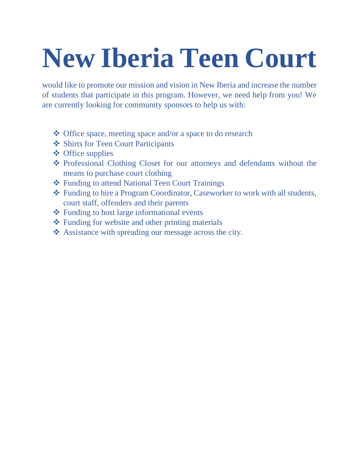## **New Iberia Teen Court**

would like to promote our mission and vision in New Iberia and increase the number of students that participate in this program. However, we need help from you! We are currently looking for community sponsors to help us with:

- ❖ Office space, meeting space and/or a space to do research
- ❖ Shirts for Teen Court Participants
- ❖ Office supplies
- ❖ Professional Clothing Closet for our attorneys and defendants without the means to purchase court clothing
- ❖ Funding to attend National Teen Court Trainings
- ❖ Funding to hire a Program Coordinator, Caseworker to work with all students, court staff, offenders and their parents
- ❖ Funding to host large informational events
- ❖ Funding for website and other printing materials
- ❖ Assistance with spreading our message across the city.